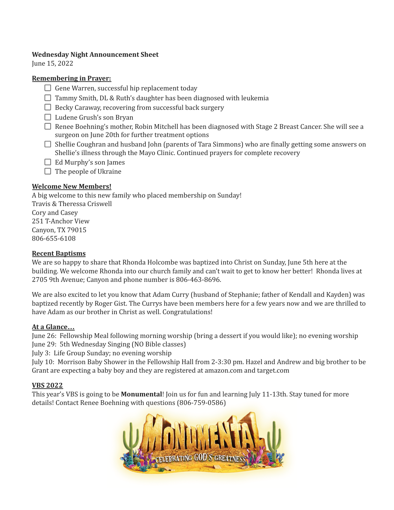### **Wednesday Night Announcement Sheet**

June 15, 2022

## **Remembering in Prayer:**

- $\Box$  Gene Warren, successful hip replacement today
- $\Box$  Tammy Smith, DL & Ruth's daughter has been diagnosed with leukemia
- $\Box$  Becky Caraway, recovering from successful back surgery
- $\Box$  Ludene Grush's son Bryan
- □ Renee Boehning's mother, Robin Mitchell has been diagnosed with Stage 2 Breast Cancer. She will see a surgeon on June 20th for further treatment options
- $\Box$  Shellie Coughran and husband John (parents of Tara Simmons) who are finally getting some answers on Shellie's illness through the Mayo Clinic. Continued prayers for complete recovery
- $\Box$  Ed Murphy's son James
- $\Box$  The people of Ukraine

# **Welcome New Members!**

A big welcome to this new family who placed membership on Sunday! Travis & Theressa Criswell Cory and Casey 251 T-Anchor View Canyon, TX 79015 806-655-6108

## **Recent Baptisms**

We are so happy to share that Rhonda Holcombe was baptized into Christ on Sunday, June 5th here at the building. We welcome Rhonda into our church family and can't wait to get to know her better! Rhonda lives at 2705 9th Avenue; Canyon and phone number is 806-463-8696.

We are also excited to let you know that Adam Curry (husband of Stephanie; father of Kendall and Kayden) was baptized recently by Roger Gist. The Currys have been members here for a few years now and we are thrilled to have Adam as our brother in Christ as well. Congratulations!

### **At a Glance…**

June 26: Fellowship Meal following morning worship (bring a dessert if you would like); no evening worship June 29: 5th Wednesday Singing (NO Bible classes)

July 3: Life Group Sunday; no evening worship

July 10: Morrison Baby Shower in the Fellowship Hall from 2-3:30 pm. Hazel and Andrew and big brother to be Grant are expecting a baby boy and they are registered at amazon.com and target.com

### **VBS 2022**

This year's VBS is going to be **Monumental**! Join us for fun and learning July 11-13th. Stay tuned for more details! Contact Renee Boehning with questions (806-759-0586)